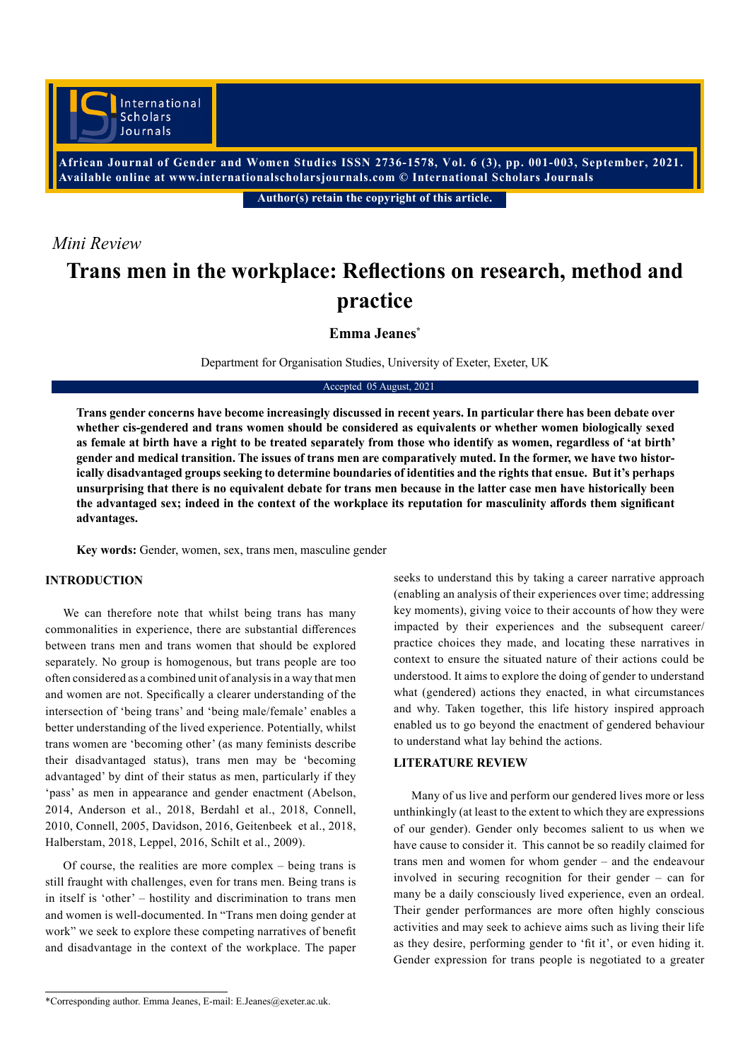**African Journal of Gender and Women Studies ISSN 2736-1578, Vol. 6 (3), pp. 001-003, September, 2021. Available online at www.internationalscholarsjournals.com © International Scholars Journals**

**Author(s) retain the copyright of this article.** 

# *Mini Review*

# **Trans men in the workplace: Reflections on research, method and practice**

**Emma Jeanes\***

Department for Organisation Studies, University of Exeter, Exeter, UK

#### Accepted 05 August, 2021

**Trans gender concerns have become increasingly discussed in recent years. In particular there has been debate over whether cis-gendered and trans women should be considered as equivalents or whether women biologically sexed as female at birth have a right to be treated separately from those who identify as women, regardless of 'at birth' gender and medical transition. The issues of trans men are comparatively muted. In the former, we have two historically disadvantaged groups seeking to determine boundaries of identities and the rights that ensue. But it's perhaps unsurprising that there is no equivalent debate for trans men because in the latter case men have historically been the advantaged sex; indeed in the context of the workplace its reputation for masculinity affords them significant advantages.**

**Key words:** Gender, women, sex, trans men, masculine gender

### **INTRODUCTION**

We can therefore note that whilst being trans has many commonalities in experience, there are substantial differences between trans men and trans women that should be explored separately. No group is homogenous, but trans people are too often considered as a combined unit of analysis in a way that men and women are not. Specifically a clearer understanding of the intersection of 'being trans' and 'being male/female' enables a better understanding of the lived experience. Potentially, whilst trans women are 'becoming other' (as many feminists describe their disadvantaged status), trans men may be 'becoming advantaged' by dint of their status as men, particularly if they 'pass' as men in appearance and gender enactment (Abelson, 2014, Anderson et al., 2018, Berdahl et al., 2018, Connell, 2010, Connell, 2005, Davidson, 2016, Geitenbeek et al., 2018, Halberstam, 2018, Leppel, 2016, Schilt et al., 2009).

Of course, the realities are more complex – being trans is still fraught with challenges, even for trans men. Being trans is in itself is 'other' – hostility and discrimination to trans men and women is well-documented. In "Trans men doing gender at work" we seek to explore these competing narratives of benefit and disadvantage in the context of the workplace. The paper seeks to understand this by taking a career narrative approach (enabling an analysis of their experiences over time; addressing key moments), giving voice to their accounts of how they were impacted by their experiences and the subsequent career/ practice choices they made, and locating these narratives in context to ensure the situated nature of their actions could be understood. It aims to explore the doing of gender to understand what (gendered) actions they enacted, in what circumstances and why. Taken together, this life history inspired approach enabled us to go beyond the enactment of gendered behaviour to understand what lay behind the actions.

#### **LITERATURE REVIEW**

Many of us live and perform our gendered lives more or less unthinkingly (at least to the extent to which they are expressions of our gender). Gender only becomes salient to us when we have cause to consider it. This cannot be so readily claimed for trans men and women for whom gender – and the endeavour involved in securing recognition for their gender – can for many be a daily consciously lived experience, even an ordeal. Their gender performances are more often highly conscious activities and may seek to achieve aims such as living their life as they desire, performing gender to 'fit it', or even hiding it. Gender expression for trans people is negotiated to a greater

<sup>\*</sup>Corresponding author. Emma Jeanes, E-mail: E.Jeanes@exeter.ac.uk.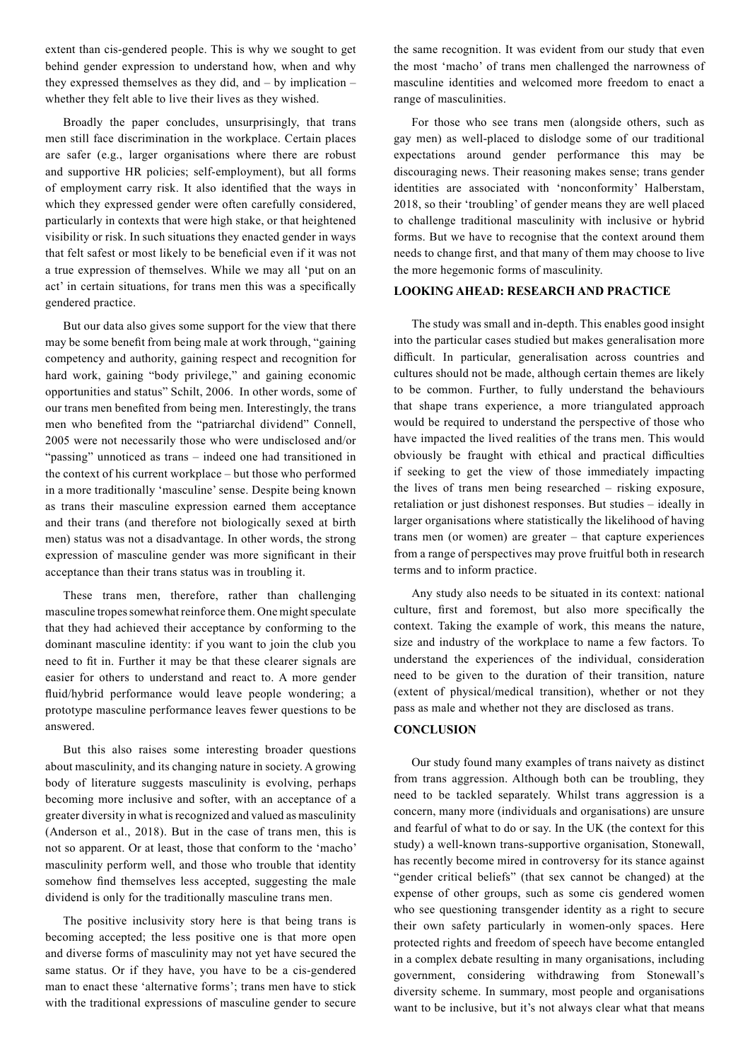extent than cis-gendered people. This is why we sought to get behind gender expression to understand how, when and why they expressed themselves as they did, and – by implication – whether they felt able to live their lives as they wished.

Broadly the paper concludes, unsurprisingly, that trans men still face discrimination in the workplace. Certain places are safer (e.g., larger organisations where there are robust and supportive HR policies; self-employment), but all forms of employment carry risk. It also identified that the ways in which they expressed gender were often carefully considered, particularly in contexts that were high stake, or that heightened visibility or risk. In such situations they enacted gender in ways that felt safest or most likely to be beneficial even if it was not a true expression of themselves. While we may all 'put on an act' in certain situations, for trans men this was a specifically gendered practice.

But our data also gives some support for the view that there may be some benefit from being male at work through, "gaining competency and authority, gaining respect and recognition for hard work, gaining "body privilege," and gaining economic opportunities and status" Schilt, 2006. In other words, some of our trans men benefited from being men. Interestingly, the trans men who benefited from the "patriarchal dividend" Connell, 2005 were not necessarily those who were undisclosed and/or "passing" unnoticed as trans – indeed one had transitioned in the context of his current workplace – but those who performed in a more traditionally 'masculine' sense. Despite being known as trans their masculine expression earned them acceptance and their trans (and therefore not biologically sexed at birth men) status was not a disadvantage. In other words, the strong expression of masculine gender was more significant in their acceptance than their trans status was in troubling it.

These trans men, therefore, rather than challenging masculine tropes somewhat reinforce them. One might speculate that they had achieved their acceptance by conforming to the dominant masculine identity: if you want to join the club you need to fit in. Further it may be that these clearer signals are easier for others to understand and react to. A more gender fluid/hybrid performance would leave people wondering; a prototype masculine performance leaves fewer questions to be answered.

But this also raises some interesting broader questions about masculinity, and its changing nature in society. A growing body of literature suggests masculinity is evolving, perhaps becoming more inclusive and softer, with an acceptance of a greater diversity in what is recognized and valued as masculinity (Anderson et al., 2018). But in the case of trans men, this is not so apparent. Or at least, those that conform to the 'macho' masculinity perform well, and those who trouble that identity somehow find themselves less accepted, suggesting the male dividend is only for the traditionally masculine trans men.

The positive inclusivity story here is that being trans is becoming accepted; the less positive one is that more open and diverse forms of masculinity may not yet have secured the same status. Or if they have, you have to be a cis-gendered man to enact these 'alternative forms'; trans men have to stick with the traditional expressions of masculine gender to secure

the same recognition. It was evident from our study that even the most 'macho' of trans men challenged the narrowness of masculine identities and welcomed more freedom to enact a range of masculinities.

For those who see trans men (alongside others, such as gay men) as well-placed to dislodge some of our traditional expectations around gender performance this may be discouraging news. Their reasoning makes sense; trans gender identities are associated with 'nonconformity' Halberstam, 2018, so their 'troubling' of gender means they are well placed to challenge traditional masculinity with inclusive or hybrid forms. But we have to recognise that the context around them needs to change first, and that many of them may choose to live the more hegemonic forms of masculinity.

## **LOOKING AHEAD: RESEARCH AND PRACTICE**

The study was small and in-depth. This enables good insight into the particular cases studied but makes generalisation more difficult. In particular, generalisation across countries and cultures should not be made, although certain themes are likely to be common. Further, to fully understand the behaviours that shape trans experience, a more triangulated approach would be required to understand the perspective of those who have impacted the lived realities of the trans men. This would obviously be fraught with ethical and practical difficulties if seeking to get the view of those immediately impacting the lives of trans men being researched – risking exposure, retaliation or just dishonest responses. But studies – ideally in larger organisations where statistically the likelihood of having trans men (or women) are greater – that capture experiences from a range of perspectives may prove fruitful both in research terms and to inform practice.

Any study also needs to be situated in its context: national culture, first and foremost, but also more specifically the context. Taking the example of work, this means the nature, size and industry of the workplace to name a few factors. To understand the experiences of the individual, consideration need to be given to the duration of their transition, nature (extent of physical/medical transition), whether or not they pass as male and whether not they are disclosed as trans.

#### **CONCLUSION**

Our study found many examples of trans naivety as distinct from trans aggression. Although both can be troubling, they need to be tackled separately. Whilst trans aggression is a concern, many more (individuals and organisations) are unsure and fearful of what to do or say. In the UK (the context for this study) a well-known trans-supportive organisation, Stonewall, has recently become mired in controversy for its stance against "gender critical beliefs" (that sex cannot be changed) at the expense of other groups, such as some cis gendered women who see questioning transgender identity as a right to secure their own safety particularly in women-only spaces. Here protected rights and freedom of speech have become entangled in a complex debate resulting in many organisations, including government, considering withdrawing from Stonewall's diversity scheme. In summary, most people and organisations want to be inclusive, but it's not always clear what that means